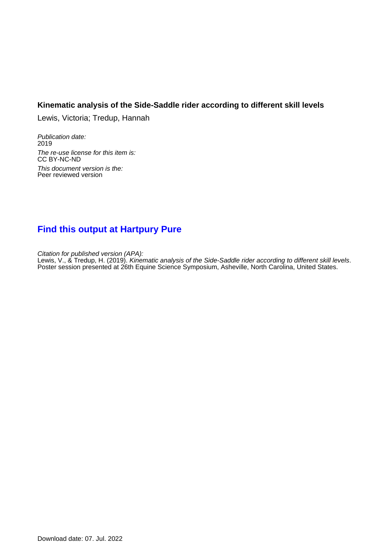## **Kinematic analysis of the Side-Saddle rider according to different skill levels**

Lewis, Victoria; Tredup, Hannah

Publication date: 2019 The re-use license for this item is: CC BY-NC-ND This document version is the: Peer reviewed version

## **[Find this output at Hartpury Pure](https://hartpury.pure.elsevier.com/en/publications/6d4d374d-9100-4682-a0f0-44602c21b245)**

Citation for published version (APA): Lewis, V., & Tredup, H. (2019). Kinematic analysis of the Side-Saddle rider according to different skill levels. Poster session presented at 26th Equine Science Symposium, Asheville, North Carolina, United States.